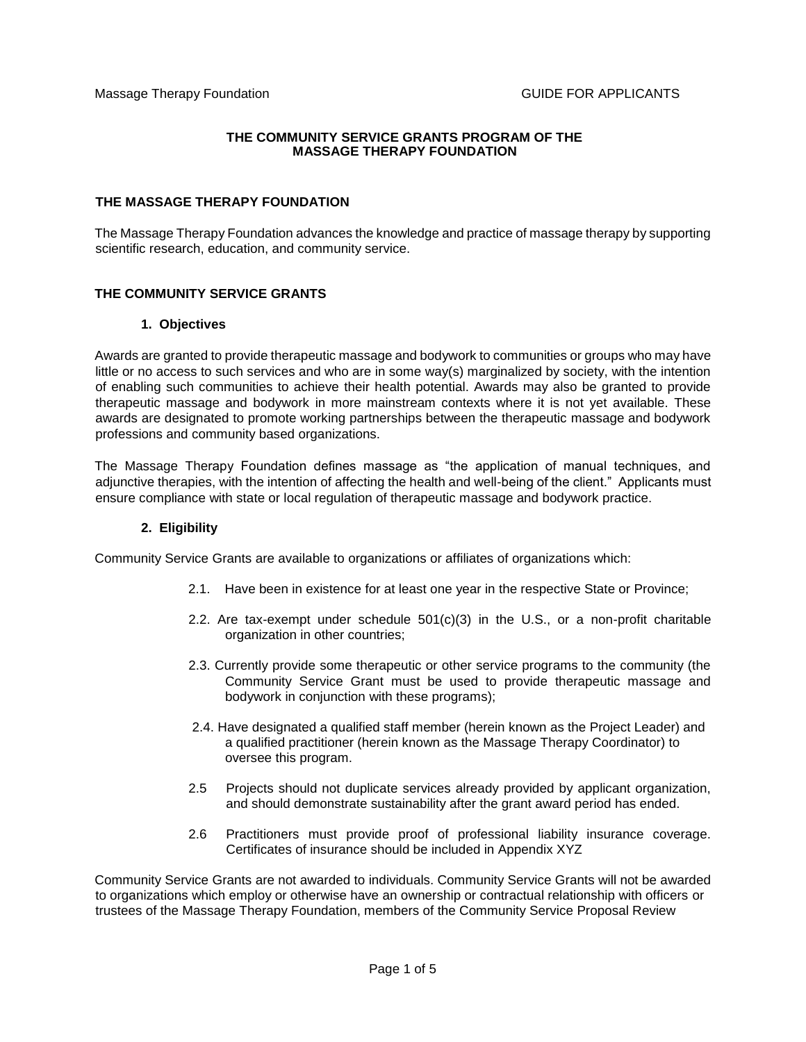#### **THE COMMUNITY SERVICE GRANTS PROGRAM OF THE MASSAGE THERAPY FOUNDATION**

### **THE MASSAGE THERAPY FOUNDATION**

The Massage Therapy Foundation advances the knowledge and practice of massage therapy by supporting scientific research, education, and community service.

### **THE COMMUNITY SERVICE GRANTS**

### **1. Objectives**

Awards are granted to provide therapeutic massage and bodywork to communities or groups who may have little or no access to such services and who are in some way(s) marginalized by society, with the intention of enabling such communities to achieve their health potential. Awards may also be granted to provide therapeutic massage and bodywork in more mainstream contexts where it is not yet available. These awards are designated to promote working partnerships between the therapeutic massage and bodywork professions and community based organizations.

The Massage Therapy Foundation defines massage as "the application of manual techniques, and adjunctive therapies, with the intention of affecting the health and well-being of the client." Applicants must ensure compliance with state or local regulation of therapeutic massage and bodywork practice.

#### **2. Eligibility**

Community Service Grants are available to organizations or affiliates of organizations which:

- 2.1. Have been in existence for at least one year in the respective State or Province;
- 2.2. Are tax-exempt under schedule  $501(c)(3)$  in the U.S., or a non-profit charitable organization in other countries;
- 2.3. Currently provide some therapeutic or other service programs to the community (the Community Service Grant must be used to provide therapeutic massage and bodywork in conjunction with these programs);
- 2.4. Have designated a qualified staff member (herein known as the Project Leader) and a qualified practitioner (herein known as the Massage Therapy Coordinator) to oversee this program.
- 2.5 Projects should not duplicate services already provided by applicant organization, and should demonstrate sustainability after the grant award period has ended.
- 2.6 Practitioners must provide proof of professional liability insurance coverage. Certificates of insurance should be included in Appendix XYZ

Community Service Grants are not awarded to individuals. Community Service Grants will not be awarded to organizations which employ or otherwise have an ownership or contractual relationship with officers or trustees of the Massage Therapy Foundation, members of the Community Service Proposal Review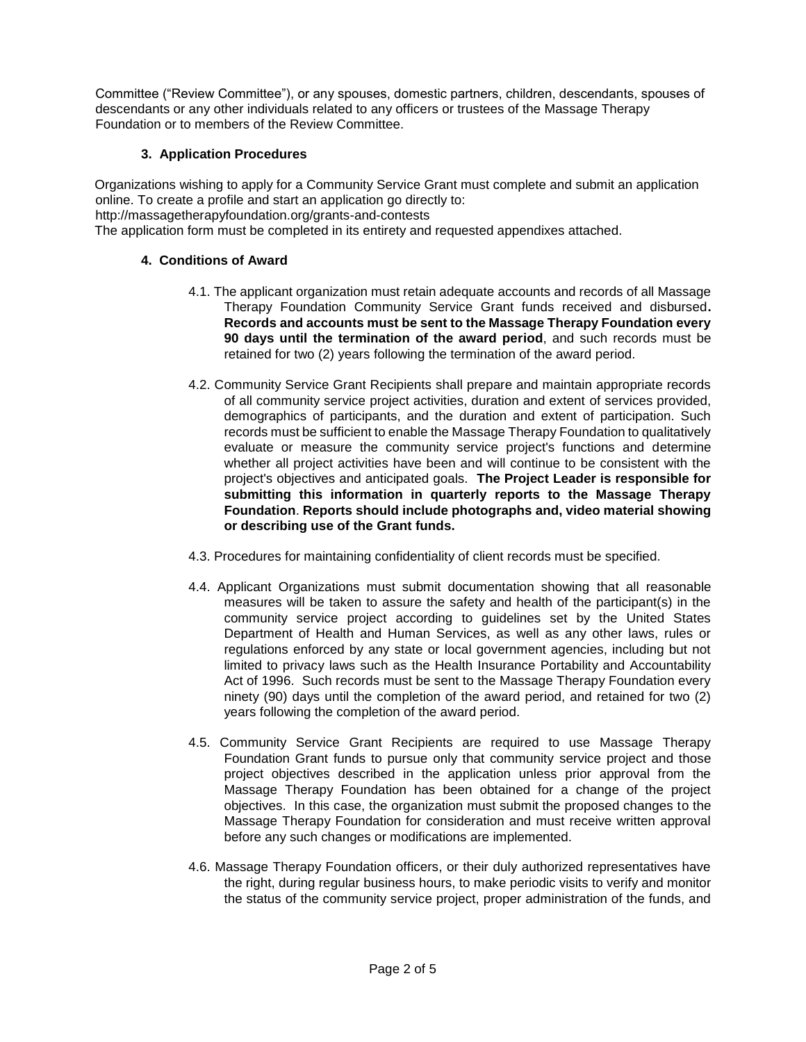Committee ("Review Committee"), or any spouses, domestic partners, children, descendants, spouses of descendants or any other individuals related to any officers or trustees of the Massage Therapy Foundation or to members of the Review Committee.

# **3. Application Procedures**

Organizations wishing to apply for a Community Service Grant must complete and submit an application online. To create a profile and start an application go directly to: http://massagetherapyfoundation.org/grants-and-contests The application form must be completed in its entirety and requested appendixes attached.

# **4. Conditions of Award**

- 4.1. The applicant organization must retain adequate accounts and records of all Massage Therapy Foundation Community Service Grant funds received and disbursed**. Records and accounts must be sent to the Massage Therapy Foundation every 90 days until the termination of the award period**, and such records must be retained for two (2) years following the termination of the award period.
- 4.2. Community Service Grant Recipients shall prepare and maintain appropriate records of all community service project activities, duration and extent of services provided, demographics of participants, and the duration and extent of participation. Such records must be sufficient to enable the Massage Therapy Foundation to qualitatively evaluate or measure the community service project's functions and determine whether all project activities have been and will continue to be consistent with the project's objectives and anticipated goals. **The Project Leader is responsible for submitting this information in quarterly reports to the Massage Therapy Foundation**. **Reports should include photographs and, video material showing or describing use of the Grant funds.**
- 4.3. Procedures for maintaining confidentiality of client records must be specified.
- 4.4. Applicant Organizations must submit documentation showing that all reasonable measures will be taken to assure the safety and health of the participant(s) in the community service project according to guidelines set by the United States Department of Health and Human Services, as well as any other laws, rules or regulations enforced by any state or local government agencies, including but not limited to privacy laws such as the Health Insurance Portability and Accountability Act of 1996. Such records must be sent to the Massage Therapy Foundation every ninety (90) days until the completion of the award period, and retained for two (2) years following the completion of the award period.
- 4.5. Community Service Grant Recipients are required to use Massage Therapy Foundation Grant funds to pursue only that community service project and those project objectives described in the application unless prior approval from the Massage Therapy Foundation has been obtained for a change of the project objectives. In this case, the organization must submit the proposed changes to the Massage Therapy Foundation for consideration and must receive written approval before any such changes or modifications are implemented.
- 4.6. Massage Therapy Foundation officers, or their duly authorized representatives have the right, during regular business hours, to make periodic visits to verify and monitor the status of the community service project, proper administration of the funds, and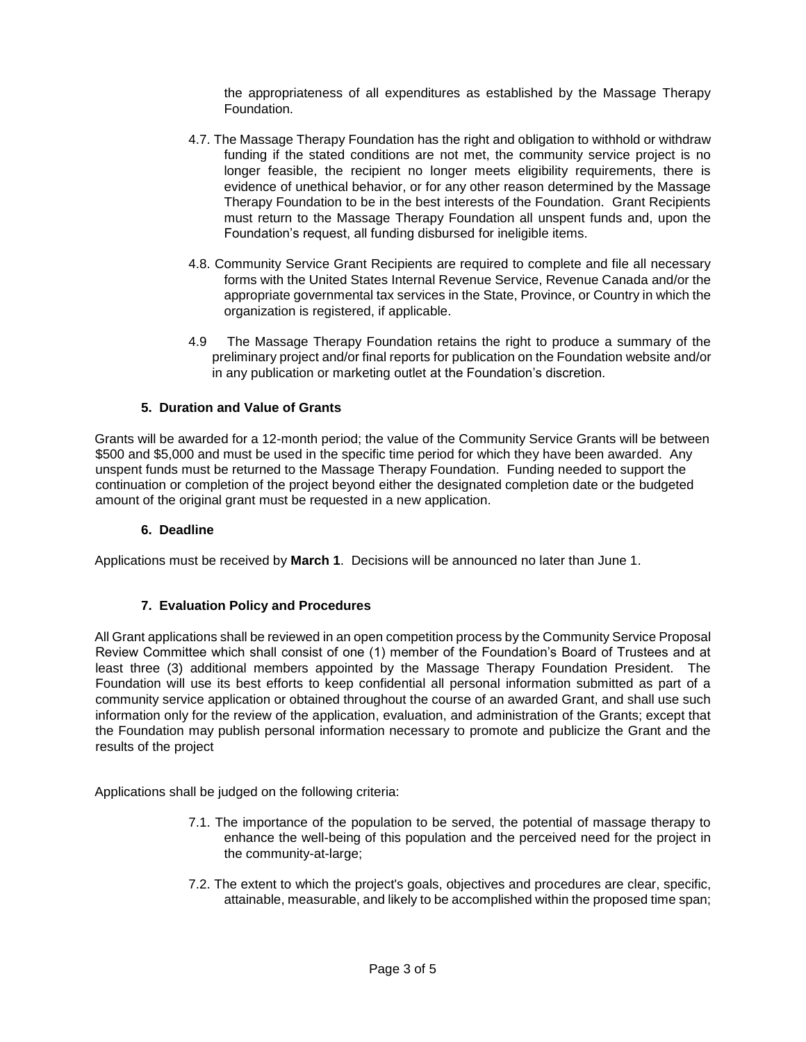the appropriateness of all expenditures as established by the Massage Therapy Foundation.

- 4.7. The Massage Therapy Foundation has the right and obligation to withhold or withdraw funding if the stated conditions are not met, the community service project is no longer feasible, the recipient no longer meets eligibility requirements, there is evidence of unethical behavior, or for any other reason determined by the Massage Therapy Foundation to be in the best interests of the Foundation. Grant Recipients must return to the Massage Therapy Foundation all unspent funds and, upon the Foundation's request, all funding disbursed for ineligible items.
- 4.8. Community Service Grant Recipients are required to complete and file all necessary forms with the United States Internal Revenue Service, Revenue Canada and/or the appropriate governmental tax services in the State, Province, or Country in which the organization is registered, if applicable.
- 4.9 The Massage Therapy Foundation retains the right to produce a summary of the preliminary project and/or final reports for publication on the Foundation website and/or in any publication or marketing outlet at the Foundation's discretion.

### **5. Duration and Value of Grants**

Grants will be awarded for a 12-month period; the value of the Community Service Grants will be between \$500 and \$5,000 and must be used in the specific time period for which they have been awarded. Any unspent funds must be returned to the Massage Therapy Foundation. Funding needed to support the continuation or completion of the project beyond either the designated completion date or the budgeted amount of the original grant must be requested in a new application.

#### **6. Deadline**

Applications must be received by **March 1**. Decisions will be announced no later than June 1.

## **7. Evaluation Policy and Procedures**

All Grant applications shall be reviewed in an open competition process by the Community Service Proposal Review Committee which shall consist of one (1) member of the Foundation's Board of Trustees and at least three (3) additional members appointed by the Massage Therapy Foundation President. The Foundation will use its best efforts to keep confidential all personal information submitted as part of a community service application or obtained throughout the course of an awarded Grant, and shall use such information only for the review of the application, evaluation, and administration of the Grants; except that the Foundation may publish personal information necessary to promote and publicize the Grant and the results of the project

Applications shall be judged on the following criteria:

- 7.1. The importance of the population to be served, the potential of massage therapy to enhance the well-being of this population and the perceived need for the project in the community-at-large;
- 7.2. The extent to which the project's goals, objectives and procedures are clear, specific, attainable, measurable, and likely to be accomplished within the proposed time span;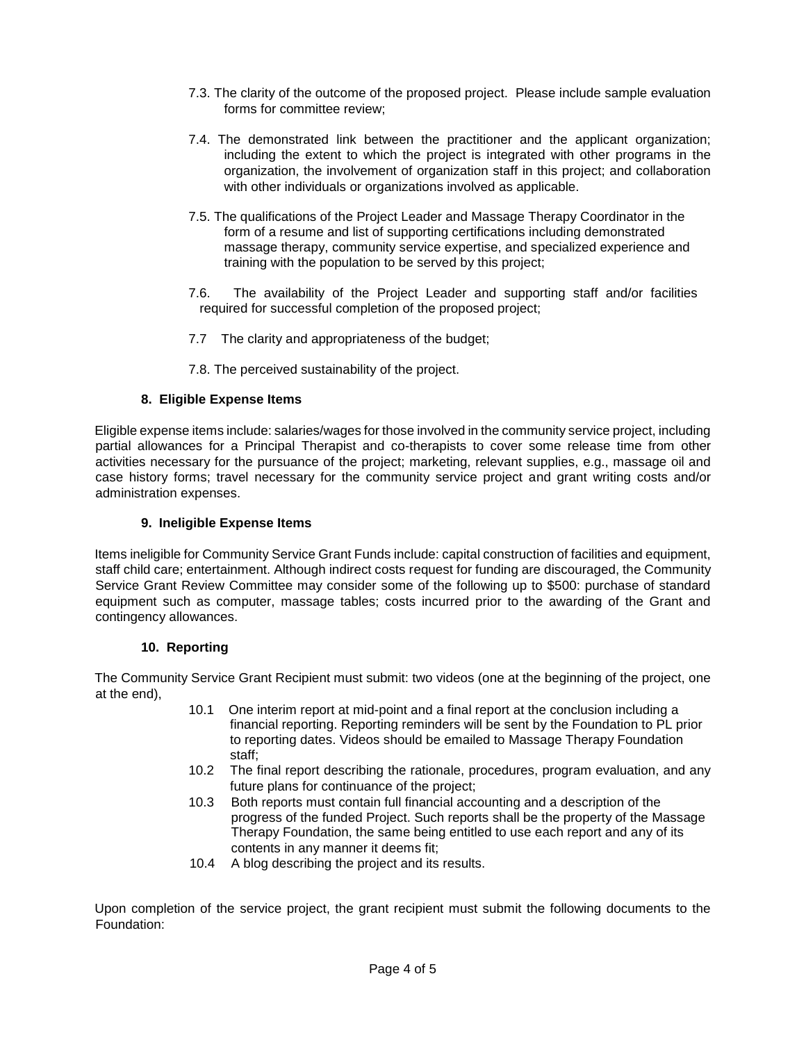- 7.3. The clarity of the outcome of the proposed project. Please include sample evaluation forms for committee review;
- 7.4. The demonstrated link between the practitioner and the applicant organization; including the extent to which the project is integrated with other programs in the organization, the involvement of organization staff in this project; and collaboration with other individuals or organizations involved as applicable.
- 7.5. The qualifications of the Project Leader and Massage Therapy Coordinator in the form of a resume and list of supporting certifications including demonstrated massage therapy, community service expertise, and specialized experience and training with the population to be served by this project;
- 7.6. The availability of the Project Leader and supporting staff and/or facilities required for successful completion of the proposed project;
- 7.7 The clarity and appropriateness of the budget;
- 7.8. The perceived sustainability of the project.

# **8. Eligible Expense Items**

Eligible expense items include: salaries/wages for those involved in the community service project, including partial allowances for a Principal Therapist and co-therapists to cover some release time from other activities necessary for the pursuance of the project; marketing, relevant supplies, e.g., massage oil and case history forms; travel necessary for the community service project and grant writing costs and/or administration expenses.

## **9. Ineligible Expense Items**

Items ineligible for Community Service Grant Funds include: capital construction of facilities and equipment, staff child care; entertainment. Although indirect costs request for funding are discouraged, the Community Service Grant Review Committee may consider some of the following up to \$500: purchase of standard equipment such as computer, massage tables; costs incurred prior to the awarding of the Grant and contingency allowances.

## **10. Reporting**

The Community Service Grant Recipient must submit: two videos (one at the beginning of the project, one at the end),

- 10.1 One interim report at mid-point and a final report at the conclusion including a financial reporting. Reporting reminders will be sent by the Foundation to PL prior to reporting dates. Videos should be emailed to Massage Therapy Foundation staff;
- 10.2 The final report describing the rationale, procedures, program evaluation, and any future plans for continuance of the project;
- 10.3 Both reports must contain full financial accounting and a description of the progress of the funded Project. Such reports shall be the property of the Massage Therapy Foundation, the same being entitled to use each report and any of its contents in any manner it deems fit;
- 10.4 A blog describing the project and its results.

Upon completion of the service project, the grant recipient must submit the following documents to the Foundation: